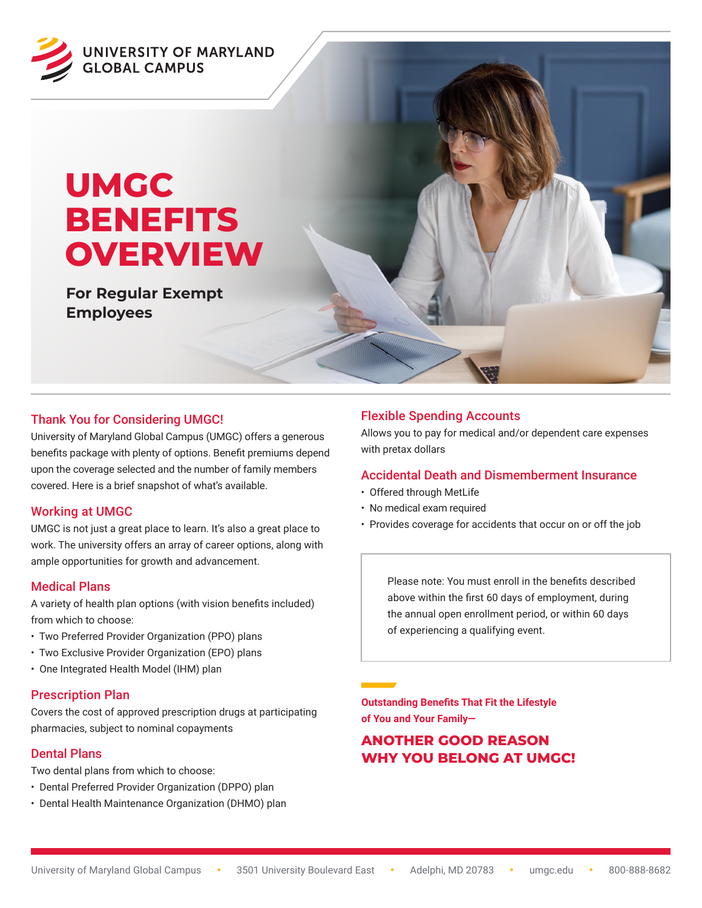

# **UMGC BENEFITS OVERVIEW**

**For Regular Exempt Employees**

#### Thank You for Considering UMGC!

University of Maryland Global Campus (UMGC) offers a generous benefits package with plenty of options. Benefit premiums depend upon the coverage selected and the number of family members covered. Here is a brief snapshot of what's available.

#### Working at UMGC

UMGC is not just a great place to learn. It's also a great place to work. The university offers an array of career options, along with ample opportunities for growth and advancement.

#### Medical Plans

A variety of health plan options (with vision benefits included) from which to choose:

- Two Preferred Provider Organization (PPO) plans
- Two Exclusive Provider Organization (EPO) plans
- One Integrated Health Model (IHM) plan

#### Prescription Plan

Covers the cost of approved prescription drugs at participating pharmacies, subject to nominal copayments

#### Dental Plans

Two dental plans from which to choose:

- Dental Preferred Provider Organization (DPPO) plan
- Dental Health Maintenance Organization (DHMO) plan

### Flexible Spending Accounts

Allows you to pay for medical and/or dependent care expenses with pretax dollars

#### Accidental Death and Dismemberment Insurance

- Offered through MetLife
- No medical exam required
- Provides coverage for accidents that occur on or off the job

Please note: You must enroll in the benefits described above within the first 60 days of employment, during the annual open enrollment period, or within 60 days of experiencing a qualifying event.

**Outstanding Benefits That Fit the Lifestyle of You and Your Family—**

## **ANOTHER GOOD REASON WHY YOU BELONG AT UMGC!**